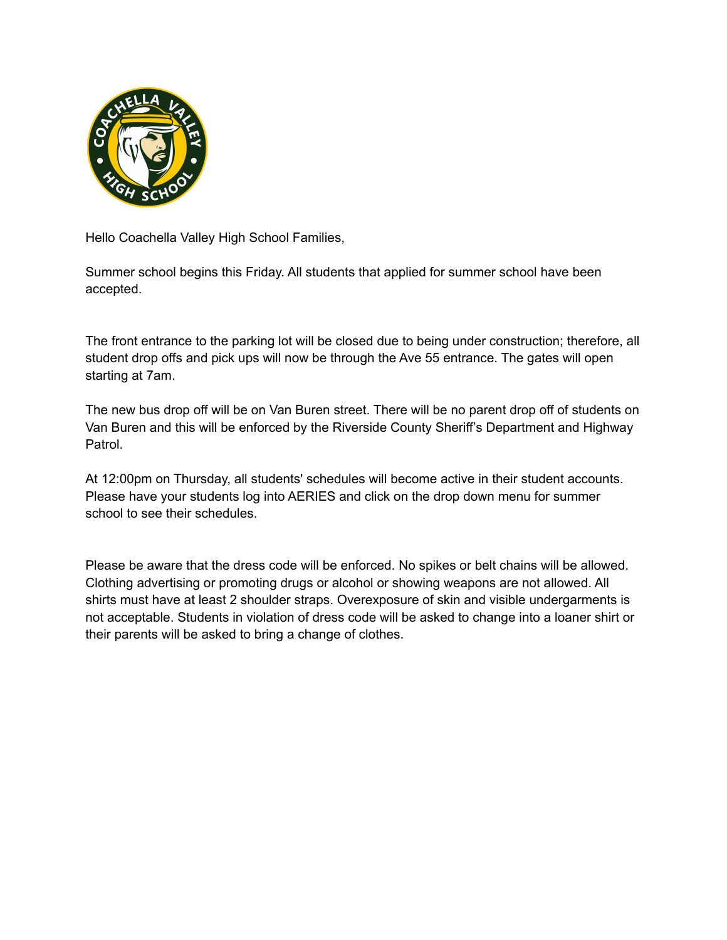

Hello Coachella Valley High School Families,

Summer school begins this Friday. All students that applied for summer school have been accepted.

The front entrance to the parking lot will be closed due to being under construction; therefore, all student drop offs and pick ups will now be through the Ave 55 entrance. The gates will open starting at 7am.

The new bus drop off will be on Van Buren street. There will be no parent drop off of students on Van Buren and this will be enforced by the Riverside County Sheriff's Department and Highway Patrol.

At 12:00pm on Thursday, all students' schedules will become active in their student accounts. Please have your students log into AERIES and click on the drop down menu for summer school to see their schedules.

Please be aware that the dress code will be enforced. No spikes or belt chains will be allowed. Clothing advertising or promoting drugs or alcohol or showing weapons are not allowed. All shirts must have at least 2 shoulder straps. Overexposure of skin and visible undergarments is not acceptable. Students in violation of dress code will be asked to change into a loaner shirt or their parents will be asked to bring a change of clothes.